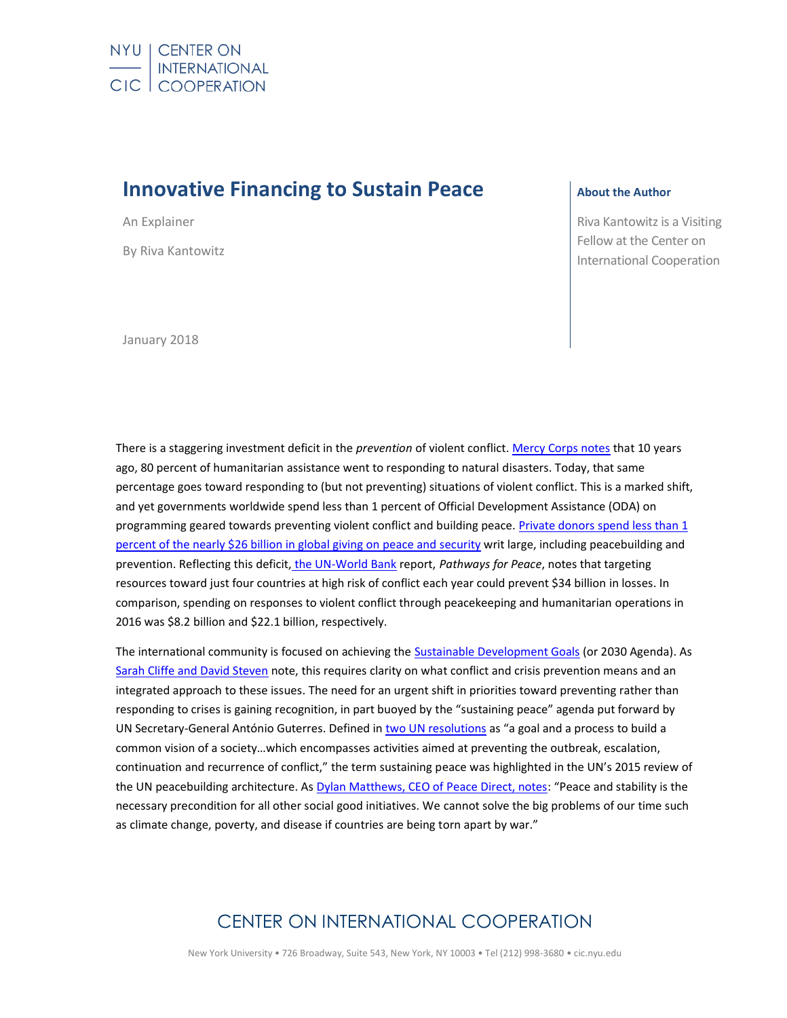# **Innovative Financing to Sustain Peace**

An Explainer By Riva Kantowitz **About the Author**

Riva Kantowitz is a Visiting Fellow at the Center on International Cooperation

January 2018

There is a staggering investment deficit in the *prevention* of violent conflict[. Mercy Corps notes](https://www.mercycorps.org/research/ounce-prevention) that 10 years ago, 80 percent of humanitarian assistance went to responding to natural disasters. Today, that same percentage goes toward responding to (but not preventing) situations of violent conflict. This is a marked shift, and yet governments worldwide spend less than 1 percent of Official Development Assistance (ODA) on programming geared towards preventing violent conflict and building peace[. Private donors spend less than 1](http://peaceandsecurityindex.org/wp-content/themes/peaceandsecurity/images/PSFG-report.pdf)  [percent of the nearly \\$26 billion in global giving on peace and security](http://peaceandsecurityindex.org/wp-content/themes/peaceandsecurity/images/PSFG-report.pdf) writ large, including peacebuilding and prevention. Reflecting this deficit, [the UN-World Bank](https://openknowledge.worldbank.org/bitstream/handle/10986/28337/211162mm.pdf?sequence=2&isAllowed=y) report, *Pathways for Peace*, notes that targeting resources toward just four countries at high risk of conflict each year could prevent \$34 billion in losses. In comparison, spending on responses to violent conflict through peacekeeping and humanitarian operations in 2016 was \$8.2 billion and \$22.1 billion, respectively.

The international community is focused on achieving the **Sustainable Development Goals** (or 2030 Agenda). As [Sarah Cliffe and David Steven](http://cic.nyu.edu/publications/integrated-approach-prevention-links-between-prevention-2030-agenda-and-sustaining) note, this requires clarity on what conflict and crisis prevention means and an integrated approach to these issues. The need for an urgent shift in priorities toward preventing rather than responding to crises is gaining recognition, in part buoyed by the "sustaining peace" agenda put forward by UN Secretary-General António Guterres. Defined in [two UN resolutions](https://www.un.org/press/en/2016/sc12340.doc.htm) as "a goal and a process to build a common vision of a society…which encompasses activities aimed at preventing the outbreak, escalation, continuation and recurrence of conflict," the term sustaining peace was highlighted in the UN's 2015 review of the UN peacebuilding architecture. As [Dylan Matthews, CEO of Peace Direct, notes](https://www.forbes.com/sites/toriutley/2017/10/23/how-this-travel-brand-is-transforming-social-impact/3/#479c189d1ad7): "Peace and stability is the necessary precondition for all other social good initiatives. We cannot solve the big problems of our time such as climate change, poverty, and disease if countries are being torn apart by war."

## CENTER ON INTERNATIONAL COOPERATION

New York University • 726 Broadway, Suite 543, New York, NY 10003 • Tel (212) 998-3680 • cic.nyu.edu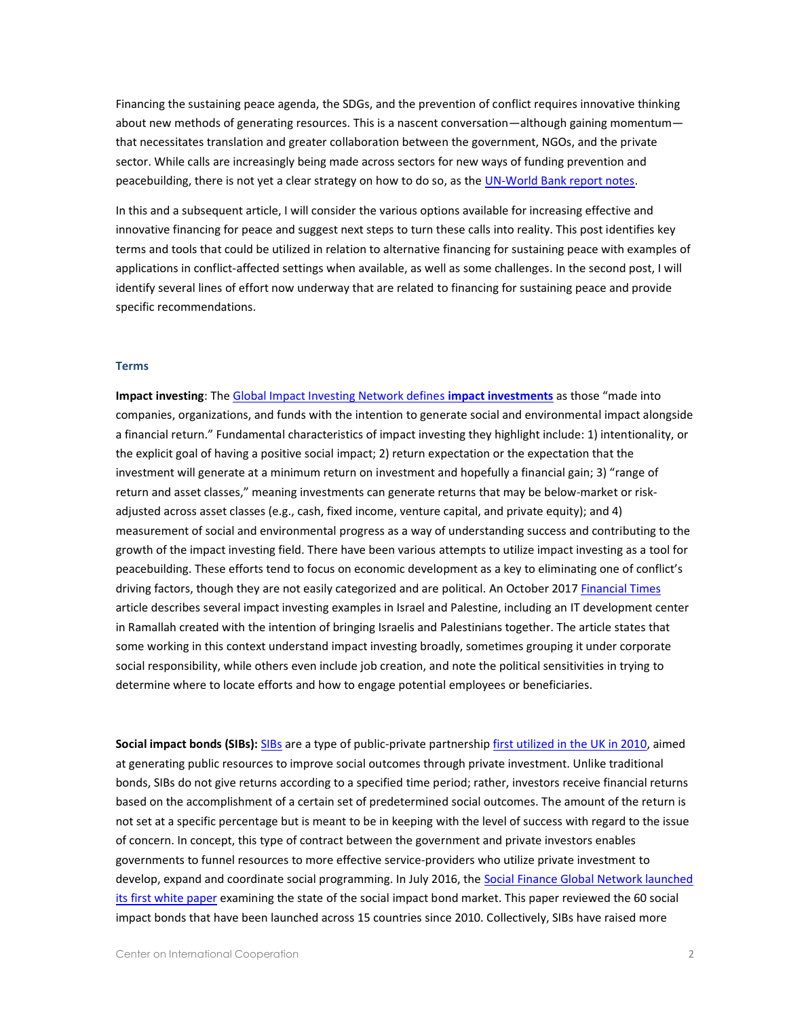Financing the sustaining peace agenda, the SDGs, and the prevention of conflict requires innovative thinking about new methods of generating resources. This is a nascent conversation—although gaining momentum that necessitates translation and greater collaboration between the government, NGOs, and the private sector. While calls are increasingly being made across sectors for new ways of funding prevention and peacebuilding, there is not yet a clear strategy on how to do so, as the [UN-World Bank report notes.](https://openknowledge.worldbank.org/bitstream/handle/10986/28337/211162mm.pdf?sequence=2&isAllowed=y)

In this and a subsequent article, I will consider the various options available for increasing effective and innovative financing for peace and suggest next steps to turn these calls into reality. This post identifies key terms and tools that could be utilized in relation to alternative financing for sustaining peace with examples of applications in conflict-affected settings when available, as well as some challenges. In the second post, I will identify several lines of effort now underway that are related to financing for sustaining peace and provide specific recommendations.

### **Terms**

**Impact investing**: Th[e Global Impact Investing Network defines](https://thegiin.org/impact-investing/need-to-know/) **impact investments** as those "made into companies, organizations, and funds with the intention to generate social and environmental impact alongside a financial return." Fundamental characteristics of impact investing they highlight include: 1) intentionality, or the explicit goal of having a positive social impact; 2) return expectation or the expectation that the investment will generate at a minimum return on investment and hopefully a financial gain; 3) "range of return and asset classes," meaning investments can generate returns that may be below-market or riskadjusted across asset classes (e.g., cash, fixed income, venture capital, and private equity); and 4) measurement of social and environmental progress as a way of understanding success and contributing to the growth of the impact investing field. There have been various attempts to utilize impact investing as a tool for peacebuilding. These efforts tend to focus on economic development as a key to eliminating one of conflict's driving factors, though they are not easily categorized and are political. An October 2017 [Financial Times](https://www.ft.com/content/557df01a-a9cb-11e7-ab66-21cc87a2edde) article describes several impact investing examples in Israel and Palestine, including an IT development center in Ramallah created with the intention of bringing Israelis and Palestinians together. The article states that some working in this context understand impact investing broadly, sometimes grouping it under corporate social responsibility, while others even include job creation, and note the political sensitivities in trying to determine where to locate efforts and how to engage potential employees or beneficiaries.

**Social impact bonds (SIBs):** [SIBs](http://www.goldmansachs.com/our-thinking/pages/social-impact-bonds.html) are a type of public-private partnershi[p first utilized in the UK in 2010,](http://socialfinance.org/social-impact-bonds-the-early-years/) aimed at generating public resources to improve social outcomes through private investment. Unlike traditional bonds, SIBs do not give returns according to a specified time period; rather, investors receive financial returns based on the accomplishment of a certain set of predetermined social outcomes. The amount of the return is not set at a specific percentage but is meant to be in keeping with the level of success with regard to the issue of concern. In concept, this type of contract between the government and private investors enables governments to funnel resources to more effective service-providers who utilize private investment to develop, expand and coordinate social programming. In July 2016, the [Social Finance Global Network launched](http://socialfinance.org/social-impact-bonds-the-early-years/)  [its first white paper](http://socialfinance.org/social-impact-bonds-the-early-years/) examining the state of the social impact bond market. This paper reviewed the 60 social impact bonds that have been launched across 15 countries since 2010. Collectively, SIBs have raised more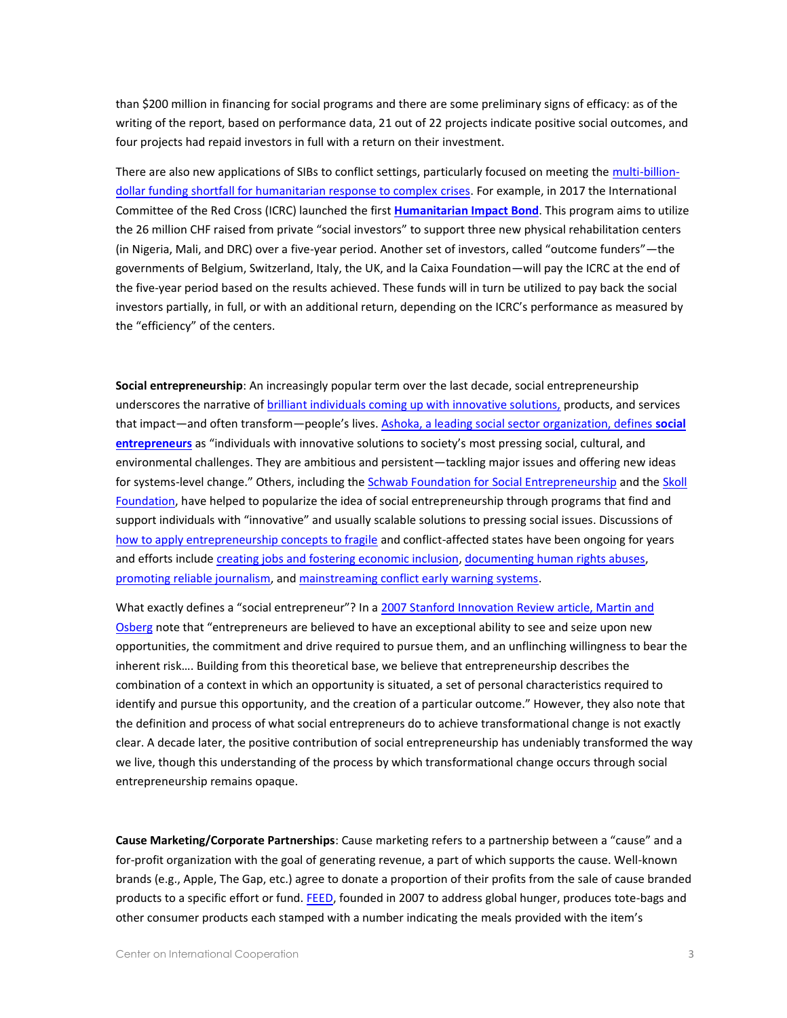than \$200 million in financing for social programs and there are some preliminary signs of efficacy: as of the writing of the report, based on performance data, 21 out of 22 projects indicate positive social outcomes, and four projects had repaid investors in full with a return on their investment.

There are also new applications of SIBs to conflict settings, particularly focused on meeting th[e multi-billion](https://ssir.org/articles/entry/investing_in_communities_affected_by_conflict_and_crises1)[dollar funding shortfall for humanitarian response to complex crises.](https://ssir.org/articles/entry/investing_in_communities_affected_by_conflict_and_crises1) For example, in 2017 the International Committee of the Red Cross (ICRC) launched the first **[Humanitarian Impact Bond](https://www.icrc.org/en/document/worlds-first-humanitarian-impact-bond-launched-transform-financing-aid-conflict-hit)**. This program aims to utilize the 26 million CHF raised from private "social investors" to support three new physical rehabilitation centers (in Nigeria, Mali, and DRC) over a five-year period. Another set of investors, called "outcome funders"—the governments of Belgium, Switzerland, Italy, the UK, and la Caixa Foundation—will pay the ICRC at the end of the five-year period based on the results achieved. These funds will in turn be utilized to pay back the social investors partially, in full, or with an additional return, depending on the ICRC's performance as measured by the "efficiency" of the centers.

**Social entrepreneurship**: An increasingly popular term over the last decade, social entrepreneurship underscores the narrative of [brilliant individuals coming up with innovative solutions,](https://www.forbes.com/sites/alexandrawilson1/2017/11/14/meet-the-30-under-30-social-entrepreneurs-making-an-impact-in-2018/#534e536d3a33) products, and services that impact—and often transform—people's lives. [Ashoka, a leading social sector organization, defines](https://www.ashoka.org/en/focus/social-entrepreneurship) **social [entrepreneurs](https://www.ashoka.org/en/focus/social-entrepreneurship)** as "individuals with innovative solutions to society's most pressing social, cultural, and environmental challenges. They are ambitious and persistent—tackling major issues and offering new ideas for systems-level change." Others, including the [Schwab Foundation for Social Entrepreneurship](https://www.ashoka.org/en/focus/social-entrepreneurship) and the Skoll [Foundation,](http://skoll.org/) have helped to popularize the idea of social entrepreneurship through programs that find and support individuals with "innovative" and usually scalable solutions to pressing social issues. Discussions of [how to apply entrepreneurship concepts to fragile](https://www.usip.org/sites/default/files/resources/PB134.pdf) and conflict-affected states have been ongoing for years and efforts includ[e creating jobs and fostering economic inclusion,](https://www.kiva.org/) [documenting human rights abuses,](http://www.eyewitnessproject.org/) [promoting reliable journalism,](https://ijnet.org/en/blog/truepic-app-lets-journalists-instantly-verify-images-videos) and [mainstreaming conflict early warning systems.](https://www.ushahidi.com/)

What exactly defines a "social entrepreneur"? In a 2007 Stanford Innovation Review article, Martin and [Osberg](https://ssir.org/articles/entry/social_entrepreneurship_the_case_for_definition) note that "entrepreneurs are believed to have an exceptional ability to see and seize upon new opportunities, the commitment and drive required to pursue them, and an unflinching willingness to bear the inherent risk…. Building from this theoretical base, we believe that entrepreneurship describes the combination of a context in which an opportunity is situated, a set of personal characteristics required to identify and pursue this opportunity, and the creation of a particular outcome." However, they also note that the definition and process of what social entrepreneurs do to achieve transformational change is not exactly clear. A decade later, the positive contribution of social entrepreneurship has undeniably transformed the way we live, though this understanding of the process by which transformational change occurs through social entrepreneurship remains opaque.

**Cause Marketing/Corporate Partnerships**: Cause marketing refers to a partnership between a "cause" and a for-profit organization with the goal of generating revenue, a part of which supports the cause. Well-known brands (e.g., Apple, The Gap, etc.) agree to donate a proportion of their profits from the sale of cause branded products to a specific effort or fund. [FEED,](https://www.feedprojects.com/about-feed) founded in 2007 to address global hunger, produces tote-bags and other consumer products each stamped with a number indicating the meals provided with the item's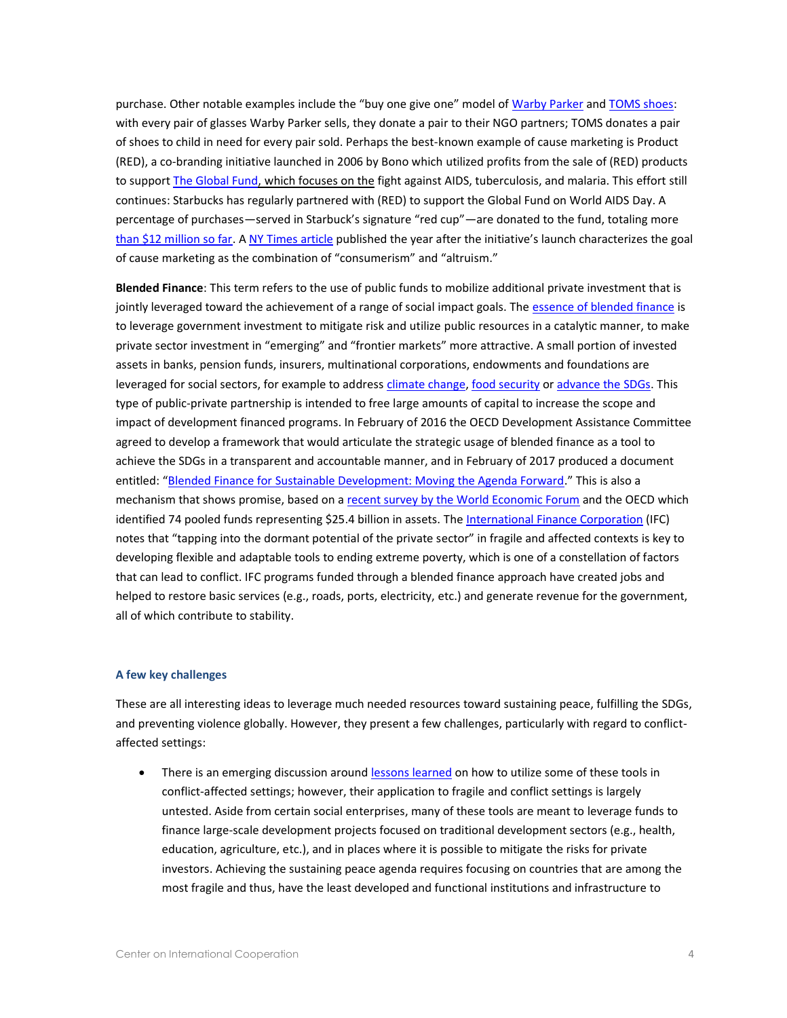purchase. Other notable examples include the "buy one give one" model of [Warby Parker](https://www.warbyparker.com/buy-a-pair-give-a-pair) and [TOMS shoes:](http://www.toms.com/one-for-one-en/) with every pair of glasses Warby Parker sells, they donate a pair to their NGO partners; TOMS donates a pair of shoes to child in need for every pair sold. Perhaps the best-known example of cause marketing is Product (RED), a co-branding initiative launched in 2006 by Bono which utilized profits from the sale of (RED) products to support [The Global Fund,](https://www.theglobalfund.org/en/) which focuses on the fight against AIDS, tuberculosis, and malaria. This effort still continues: Starbucks has regularly partnered with (RED) to support the Global Fund on World AIDS Day. A percentage of purchases—served in Starbuck's signature "red cup"—are donated to the fund, totaling more [than \\$12 million so far.](https://causegood.com/blog/cause-marketing-examples/) A [NY Times article](http://www.nytimes.com/2008/02/06/business/06red.html) published the year after the initiative's launch characterizes the goal of cause marketing as the combination of "consumerism" and "altruism."

**Blended Finance**: This term refers to the use of public funds to mobilize additional private investment that is jointly leveraged toward the achievement of a range of social impact goals. The [essence of blended finance](http://www3.weforum.org/docs/WEF_Blended_Finance_How_To_Guide.pdf) is to leverage government investment to mitigate risk and utilize public resources in a catalytic manner, to make private sector investment in "emerging" and "frontier markets" more attractive. A small portion of invested assets in banks, pension funds, insurers, multinational corporations, endowments and foundations are leveraged for social sectors, for example to address [climate change,](http://www.ifc.org/wps/wcm/connect/CORP_EXT_Content/IFC_External_Corporate_Site/Solutions/Products+and+Services/Blended-Finance) [food security](http://www.ifc.org/wps/wcm/connect/industry_ext_content/ifc_external_corporate_site/agribusiness/priorities/enhancing+food+security/gafsp_landingpage) or [advance the SDGs.](http://www.oecd.org/dac/financing-sustainable-development/development-finance-topics/blended-finance.htm) This type of public-private partnership is intended to free large amounts of capital to increase the scope and impact of development financed programs. In February of 2016 the OECD Development Assistance Committee agreed to develop a framework that would articulate the strategic usage of blended finance as a tool to achieve the SDGs in a transparent and accountable manner, and in February of 2017 produced a document entitled: "[Blended Finance for Sustainable Development: Moving the Agenda Forward](http://www.oecd.org/dac/financing-sustainable-development/development-finance-topics/Blended-)." This is also a mechanism that shows promise, based on a [recent survey by the World Economic Forum](http://www3.weforum.org/docs/WEF_Blended_Finance_Insights_Investments_Vehicles_Facilities_report_2016.pdf) and the OECD which identified 74 pooled funds representing \$25.4 billion in assets. Th[e International Finance Corporation](https://blog.private-sector-and-development.com/2017/08/28/what-tools-to-finance-the-private-sector-in-fragile-states-the-experience-of-the-international-finance-corporation/) (IFC) notes that "tapping into the dormant potential of the private sector" in fragile and affected contexts is key to developing flexible and adaptable tools to ending extreme poverty, which is one of a constellation of factors that can lead to conflict. IFC programs funded through a blended finance approach have created jobs and helped to restore basic services (e.g., roads, ports, electricity, etc.) and generate revenue for the government, all of which contribute to stability.

### **A few key challenges**

These are all interesting ideas to leverage much needed resources toward sustaining peace, fulfilling the SDGs, and preventing violence globally. However, they present a few challenges, particularly with regard to conflictaffected settings:

There is an emerging discussion aroun[d lessons learned](https://blog.private-sector-and-development.com/2017/08/28/what-tools-to-finance-the-private-sector-in-fragile-states-the-experience-of-the-international-finance-corporation/) on how to utilize some of these tools in conflict-affected settings; however, their application to fragile and conflict settings is largely untested. Aside from certain social enterprises, many of these tools are meant to leverage funds to finance large-scale development projects focused on traditional development sectors (e.g., health, education, agriculture, etc.), and in places where it is possible to mitigate the risks for private investors. Achieving the sustaining peace agenda requires focusing on countries that are among the most fragile and thus, have the least developed and functional institutions and infrastructure to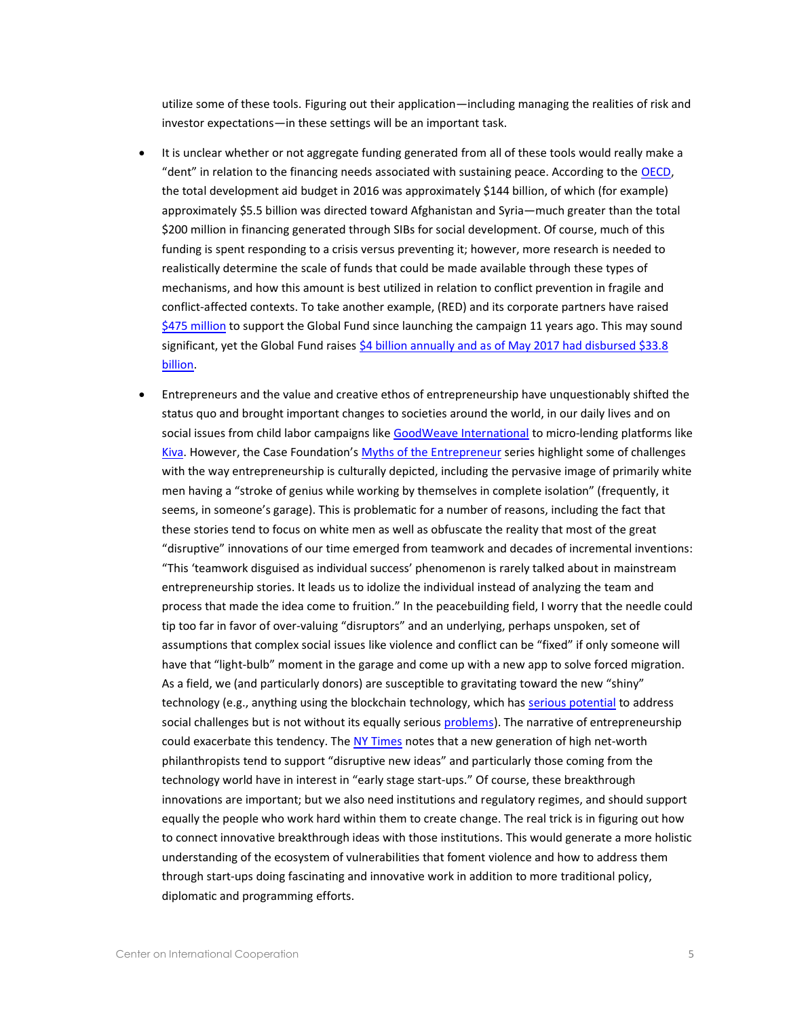utilize some of these tools. Figuring out their application—including managing the realities of risk and investor expectations—in these settings will be an important task.

- It is unclear whether or not aggregate funding generated from all of these tools would really make a "dent" in relation to the financing needs associated with sustaining peace. According to the [OECD,](https://public.tableau.com/views/AidAtAGlance/DACmembers?:embed=y&:display_count=no?&:showVizHome=no#1) the total development aid budget in 2016 was approximately \$144 billion, of which (for example) approximately \$5.5 billion was directed toward Afghanistan and Syria—much greater than the total \$200 million in financing generated through SIBs for social development. Of course, much of this funding is spent responding to a crisis versus preventing it; however, more research is needed to realistically determine the scale of funds that could be made available through these types of mechanisms, and how this amount is best utilized in relation to conflict prevention in fragile and conflict-affected contexts. To take another example, (RED) and its corporate partners have raised [\\$475 million](https://red.org/our-impact/) to support the Global Fund since launching the campaign 11 years ago. This may sound significant, yet the Global Fund raises [\\$4 billion annually and as of May 2017 had disbursed \\$33.8](https://www.theglobalfund.org/en/financials/)  [billion.](https://www.theglobalfund.org/en/financials/)
- Entrepreneurs and the value and creative ethos of entrepreneurship have unquestionably shifted the status quo and brought important changes to societies around the world, in our daily lives and on social issues from child labor campaigns like [GoodWeave International](https://goodweave.org/) to micro-lending platforms like [Kiva](https://www.kiva.org/). However, the Case Foundation's [Myths of the Entrepreneur](https://casefoundation.org/blog/the-myth-of-isolation/) series highlight some of challenges with the way entrepreneurship is culturally depicted, including the pervasive image of primarily white men having a "stroke of genius while working by themselves in complete isolation" (frequently, it seems, in someone's garage). This is problematic for a number of reasons, including the fact that these stories tend to focus on white men as well as obfuscate the reality that most of the great "disruptive" innovations of our time emerged from teamwork and decades of incremental inventions: "This 'teamwork disguised as individual success' phenomenon is rarely talked about in mainstream entrepreneurship stories. It leads us to idolize the individual instead of analyzing the team and process that made the idea come to fruition." In the peacebuilding field, I worry that the needle could tip too far in favor of over-valuing "disruptors" and an underlying, perhaps unspoken, set of assumptions that complex social issues like violence and conflict can be "fixed" if only someone will have that "light-bulb" moment in the garage and come up with a new app to solve forced migration. As a field, we (and particularly donors) are susceptible to gravitating toward the new "shiny" technology (e.g., anything using the blockchain technology, which has [serious potential](https://www.weforum.org/agenda/2016/12/fighting-human-trafficking-tracing-blood-diamonds-and-other-surprising-uses-for-blockchain/) to address social challenges but is not without its equally seriou[s problems\)](https://hbr.org/2017/01/the-truth-about-blockchain). The narrative of entrepreneurship could exacerbate this tendency. The [NY Times](https://www.nytimes.com/2016/11/06/giving/philanthropy-in-silicon-valley-big-bets-on-big-ideas.html?_r=1) notes that a new generation of high net-worth philanthropists tend to support "disruptive new ideas" and particularly those coming from the technology world have in interest in "early stage start-ups." Of course, these breakthrough innovations are important; but we also need institutions and regulatory regimes, and should support equally the people who work hard within them to create change. The real trick is in figuring out how to connect innovative breakthrough ideas with those institutions. This would generate a more holistic understanding of the ecosystem of vulnerabilities that foment violence and how to address them through start-ups doing fascinating and innovative work in addition to more traditional policy, diplomatic and programming efforts.